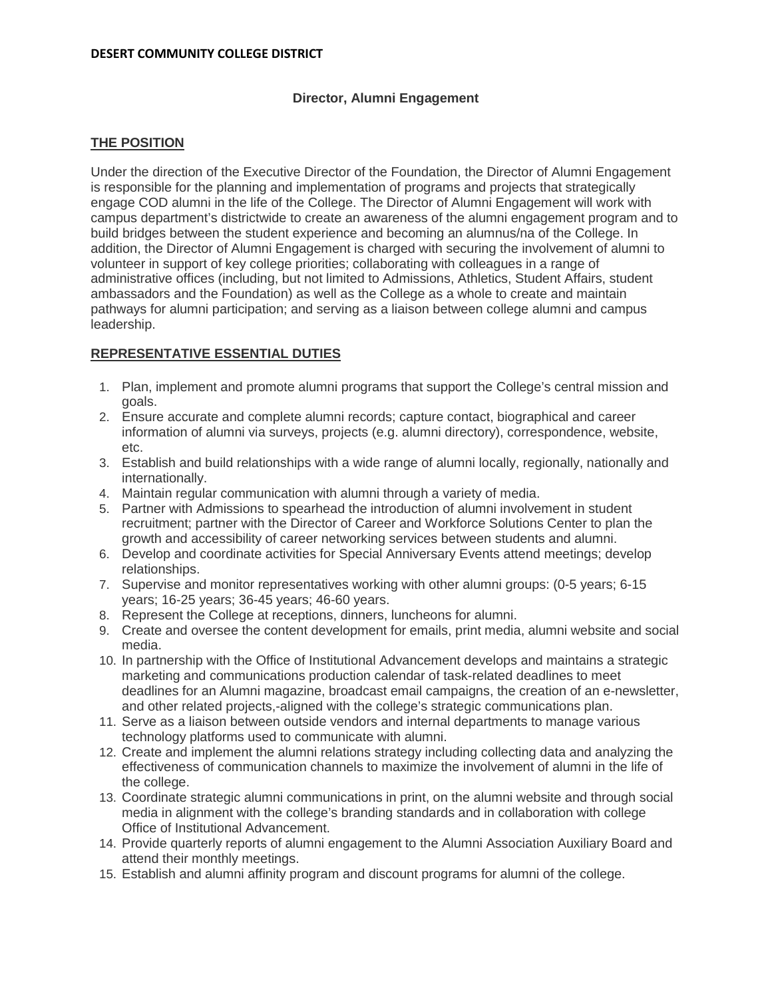## **Director, Alumni Engagement**

## **THE POSITION**

Under the direction of the Executive Director of the Foundation, the Director of Alumni Engagement is responsible for the planning and implementation of programs and projects that strategically engage COD alumni in the life of the College. The Director of Alumni Engagement will work with campus department's districtwide to create an awareness of the alumni engagement program and to build bridges between the student experience and becoming an alumnus/na of the College. In addition, the Director of Alumni Engagement is charged with securing the involvement of alumni to volunteer in support of key college priorities; collaborating with colleagues in a range of administrative offices (including, but not limited to Admissions, Athletics, Student Affairs, student ambassadors and the Foundation) as well as the College as a whole to create and maintain pathways for alumni participation; and serving as a liaison between college alumni and campus leadership.

# **REPRESENTATIVE ESSENTIAL DUTIES**

- 1. Plan, implement and promote alumni programs that support the College's central mission and goals.
- 2. Ensure accurate and complete alumni records; capture contact, biographical and career information of alumni via surveys, projects (e.g. alumni directory), correspondence, website, etc.
- 3. Establish and build relationships with a wide range of alumni locally, regionally, nationally and internationally.
- 4. Maintain regular communication with alumni through a variety of media.
- 5. Partner with Admissions to spearhead the introduction of alumni involvement in student recruitment; partner with the Director of Career and Workforce Solutions Center to plan the growth and accessibility of career networking services between students and alumni.
- 6. Develop and coordinate activities for Special Anniversary Events attend meetings; develop relationships.
- 7. Supervise and monitor representatives working with other alumni groups: (0-5 years; 6-15 years; 16-25 years; 36-45 years; 46-60 years.
- 8. Represent the College at receptions, dinners, luncheons for alumni.
- 9. Create and oversee the content development for emails, print media, alumni website and social media.
- 10. In partnership with the Office of Institutional Advancement develops and maintains a strategic marketing and communications production calendar of task-related deadlines to meet deadlines for an Alumni magazine, broadcast email campaigns, the creation of an e-newsletter, and other related projects,-aligned with the college's strategic communications plan.
- 11. Serve as a liaison between outside vendors and internal departments to manage various technology platforms used to communicate with alumni.
- 12. Create and implement the alumni relations strategy including collecting data and analyzing the effectiveness of communication channels to maximize the involvement of alumni in the life of the college.
- 13. Coordinate strategic alumni communications in print, on the alumni website and through social media in alignment with the college's branding standards and in collaboration with college Office of Institutional Advancement.
- 14. Provide quarterly reports of alumni engagement to the Alumni Association Auxiliary Board and attend their monthly meetings.
- 15. Establish and alumni affinity program and discount programs for alumni of the college.